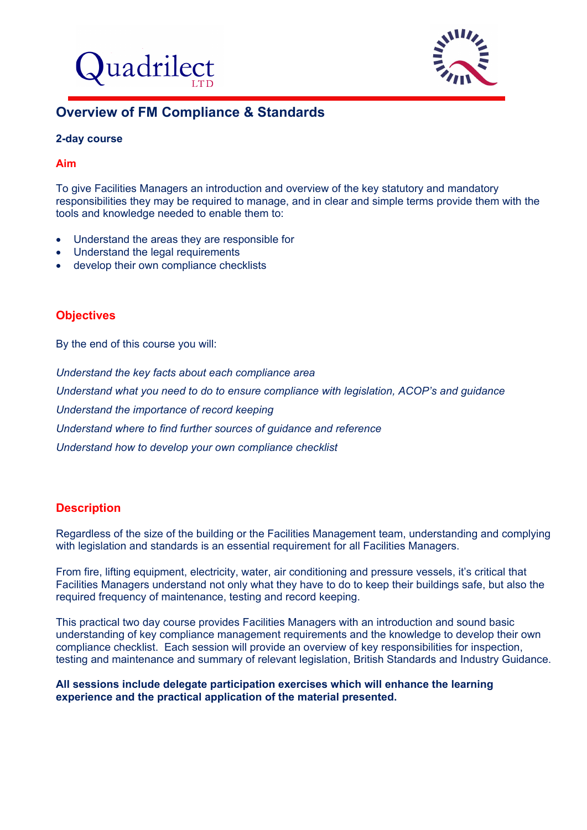



# **Overview of FM Compliance & Standards**

#### **2-day course**

#### **Aim**

To give Facilities Managers an introduction and overview of the key statutory and mandatory responsibilities they may be required to manage, and in clear and simple terms provide them with the tools and knowledge needed to enable them to:

- Understand the areas they are responsible for
- Understand the legal requirements
- develop their own compliance checklists

# **Objectives**

By the end of this course you will:

*Understand the key facts about each compliance area Understand what you need to do to ensure compliance with legislation, ACOP's and guidance Understand the importance of record keeping Understand where to find further sources of guidance and reference Understand how to develop your own compliance checklist* 

# **Description**

Regardless of the size of the building or the Facilities Management team, understanding and complying with legislation and standards is an essential requirement for all Facilities Managers.

From fire, lifting equipment, electricity, water, air conditioning and pressure vessels, it's critical that Facilities Managers understand not only what they have to do to keep their buildings safe, but also the required frequency of maintenance, testing and record keeping.

This practical two day course provides Facilities Managers with an introduction and sound basic understanding of key compliance management requirements and the knowledge to develop their own compliance checklist. Each session will provide an overview of key responsibilities for inspection, testing and maintenance and summary of relevant legislation, British Standards and Industry Guidance.

**All sessions include delegate participation exercises which will enhance the learning experience and the practical application of the material presented.**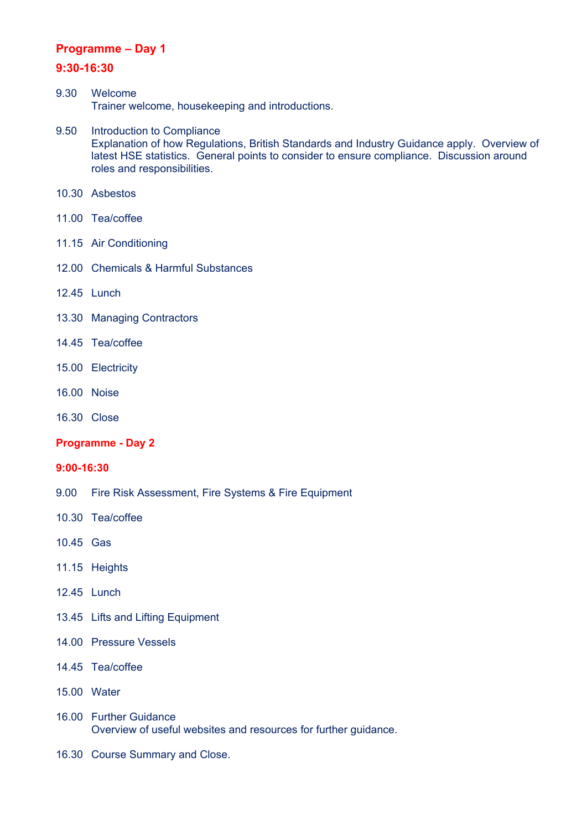### **Programme – Day 1**

### **9:30-16:30**

- 9.30 Welcome Trainer welcome, housekeeping and introductions.
- 9.50 Introduction to Compliance Explanation of how Regulations, British Standards and Industry Guidance apply. Overview of latest HSE statistics. General points to consider to ensure compliance. Discussion around roles and responsibilities.
- 10.30 Asbestos
- 11.00 Tea/coffee
- 11.15 Air Conditioning
- 12.00 Chemicals & Harmful Substances
- 12.45 Lunch
- 13.30 Managing Contractors
- 14.45 Tea/coffee
- 15.00 Electricity
- 16.00 Noise
- 16.30 Close

### **Programme - Day 2**

#### **9:00-16:30**

- 9.00 Fire Risk Assessment, Fire Systems & Fire Equipment
- 10.30 Tea/coffee
- 10.45 Gas
- 11.15 Heights
- 12.45 Lunch
- 13.45 Lifts and Lifting Equipment
- 14.00 Pressure Vessels
- 14.45 Tea/coffee
- 15.00 Water
- 16.00 Further Guidance Overview of useful websites and resources for further guidance.
- 16.30 Course Summary and Close.